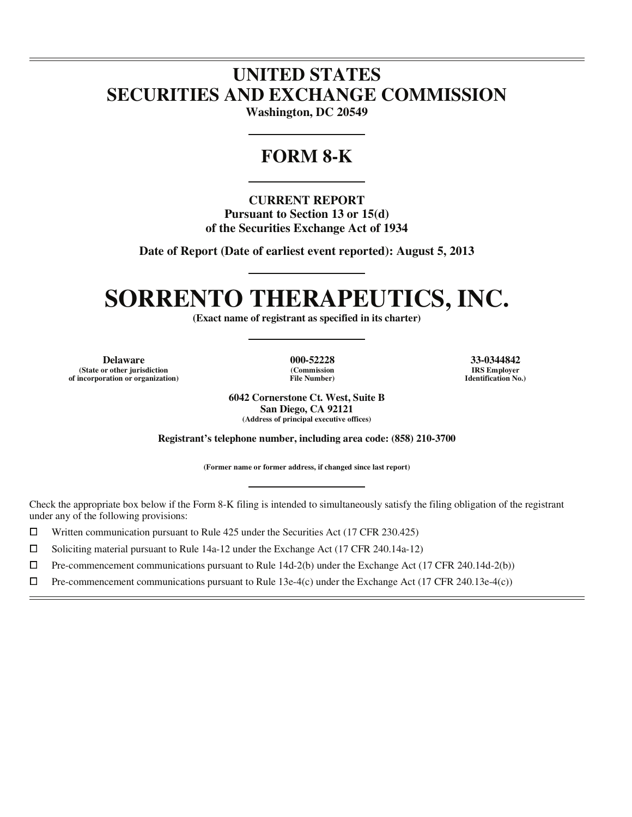# **UNITED STATES SECURITIES AND EXCHANGE COMMISSION**

**Washington, DC 20549** 

# **FORM 8-K**

**CURRENT REPORT Pursuant to Section 13 or 15(d) of the Securities Exchange Act of 1934** 

**Date of Report (Date of earliest event reported): August 5, 2013** 

# **SORRENTO THERAPEUTICS, INC.**

**(Exact name of registrant as specified in its charter)** 

**Delaware 000-52228 33-0344842 (State or other jurisdiction of incorporation or organization)**

 $\overline{a}$ 

**(Commission File Number)**

**IRS Employer Identification No.)**

**6042 Cornerstone Ct. West, Suite B San Diego, CA 92121 (Address of principal executive offices)** 

**Registrant's telephone number, including area code: (858) 210-3700** 

**(Former name or former address, if changed since last report)** 

Check the appropriate box below if the Form 8-K filing is intended to simultaneously satisfy the filing obligation of the registrant under any of the following provisions:

 $□$  Written communication pursuant to Rule 425 under the Securities Act (17 CFR 230.425)<br>
□ Soliciting material pursuant to Rule 14a-12 under the Exchange Act (17 CFR 240.14a-12)

Soliciting material pursuant to Rule 14a-12 under the Exchange Act (17 CFR 240.14a-12)

 $\Box$  $\Box$  Pre-commencement communications pursuant to Rule 14d-2(b) under the Exchange Act (17 CFR 240.14d-2(b))<br>  $\Box$  Pre-commencement communications pursuant to Rule 13e-4(c) under the Exchange Act (17 CFR 240.13e-4(c))

Pre-commencement communications pursuant to Rule 13e-4(c) under the Exchange Act (17 CFR 240.13e-4(c))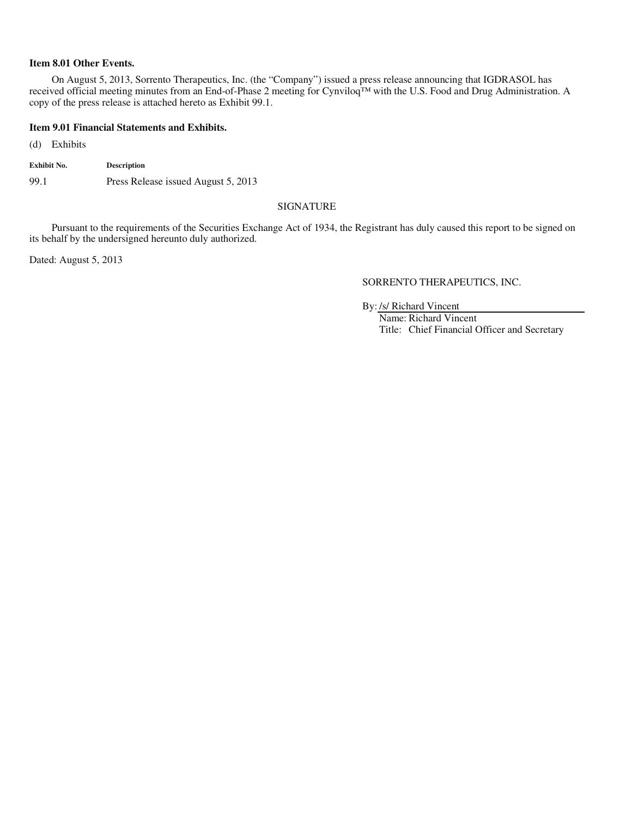## **Item 8.01 Other Events.**

On August 5, 2013, Sorrento Therapeutics, Inc. (the "Company") issued a press release announcing that IGDRASOL has received official meeting minutes from an End-of-Phase 2 meeting for Cynviloq™ with the U.S. Food and Drug Administration. A copy of the press release is attached hereto as Exhibit 99.1.

### **Item 9.01 Financial Statements and Exhibits.**

(d) Exhibits

| Exhibit No. | <b>Description</b>                  |
|-------------|-------------------------------------|
| 99.1        | Press Release issued August 5, 2013 |

## SIGNATURE

Pursuant to the requirements of the Securities Exchange Act of 1934, the Registrant has duly caused this report to be signed on its behalf by the undersigned hereunto duly authorized.

Dated: August 5, 2013

SORRENTO THERAPEUTICS, INC.

By: /s/ Richard Vincent

Name: Richard Vincent Title: Chief Financial Officer and Secretary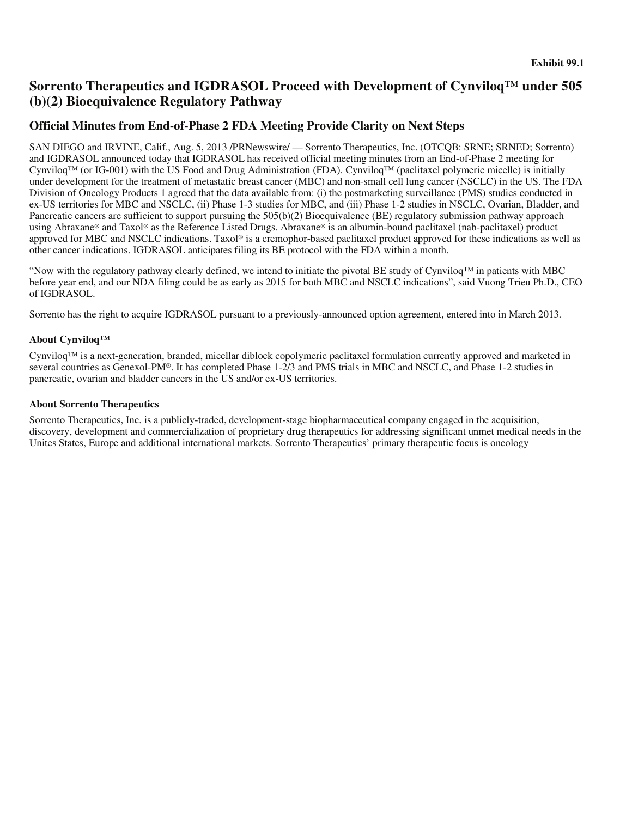## **Sorrento Therapeutics and IGDRASOL Proceed with Development of Cynviloq™ under 505 (b)(2) Bioequivalence Regulatory Pathway**

## **Official Minutes from End-of-Phase 2 FDA Meeting Provide Clarity on Next Steps**

SAN DIEGO and IRVINE, Calif., Aug. 5, 2013 /PRNewswire/ — Sorrento Therapeutics, Inc. (OTCQB: SRNE; SRNED; Sorrento) and IGDRASOL announced today that IGDRASOL has received official meeting minutes from an End-of-Phase 2 meeting for Cynviloq™ (or IG-001) with the US Food and Drug Administration (FDA). Cynviloq™ (paclitaxel polymeric micelle) is initially under development for the treatment of metastatic breast cancer (MBC) and non-small cell lung cancer (NSCLC) in the US. The FDA Division of Oncology Products 1 agreed that the data available from: (i) the postmarketing surveillance (PMS) studies conducted in ex-US territories for MBC and NSCLC, (ii) Phase 1-3 studies for MBC, and (iii) Phase 1-2 studies in NSCLC, Ovarian, Bladder, and Pancreatic cancers are sufficient to support pursuing the 505(b)(2) Bioequivalence (BE) regulatory submission pathway approach using Abraxane® and Taxol® as the Reference Listed Drugs. Abraxane® is an albumin-bound paclitaxel (nab-paclitaxel) product approved for MBC and NSCLC indications. Taxol® is a cremophor-based paclitaxel product approved for these indications as well as other cancer indications. IGDRASOL anticipates filing its BE protocol with the FDA within a month.

"Now with the regulatory pathway clearly defined, we intend to initiate the pivotal BE study of Cynviloq™ in patients with MBC before year end, and our NDA filing could be as early as 2015 for both MBC and NSCLC indications", said Vuong Trieu Ph.D., CEO of IGDRASOL.

Sorrento has the right to acquire IGDRASOL pursuant to a previously-announced option agreement, entered into in March 2013.

## **About Cynviloq™**

Cynviloq™ is a next-generation, branded, micellar diblock copolymeric paclitaxel formulation currently approved and marketed in several countries as Genexol-PM®. It has completed Phase 1-2/3 and PMS trials in MBC and NSCLC, and Phase 1-2 studies in pancreatic, ovarian and bladder cancers in the US and/or ex-US territories.

## **About Sorrento Therapeutics**

Sorrento Therapeutics, Inc. is a publicly-traded, development-stage biopharmaceutical company engaged in the acquisition, discovery, development and commercialization of proprietary drug therapeutics for addressing significant unmet medical needs in the Unites States, Europe and additional international markets. Sorrento Therapeutics' primary therapeutic focus is oncology